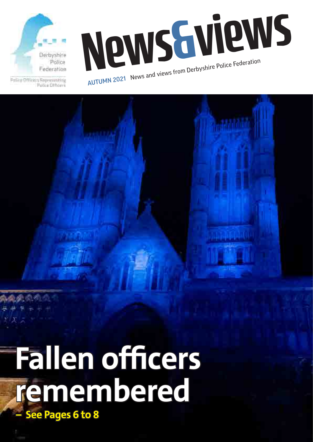

Follow Officers Representing Potice Difficers

News Arientice Federation AUTUMN 2021 News and views from Derbyshire Police Federation

# **Fallen officers remembered – See Pages 6 to 8**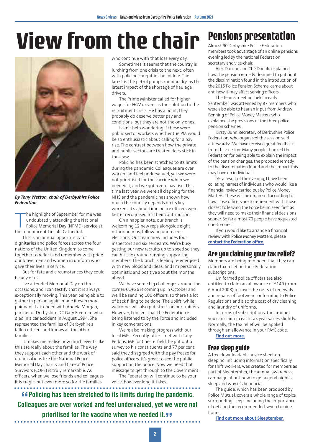### **View from the chair**



*By Tony Wetton, chair of Derbyshire Police Federation*

The highlight of September for undoubtedly attending the Molice Memorial Day (NPMD)<br>Police Memorial Day (NPMD)<br>the magnificent Lincoln Cathedral. he highlight of September for me was undoubtedly attending the National Police Memorial Day (NPMD) service at

This is an annual opportunity for dignitaries and police forces across the four nations of the United Kingdom to come together to reflect and remember with pride our brave men and women in uniform who gave their lives in service.

But for fate and circumstances they could be any of us.

I've attended Memorial Day on three occasions, and I can testify that it is always exceptionally moving. This year, being able to gather in person again, made it even more poignant. I attended with Angela Morgan, partner of Derbyshire DC Gary Freeman who died in a car accident in August 1994. She represented the families of Derbyshire's fallen officers and knows all the other families.

It makes me realise how much events like this are really about the families. The way they support each other and the work of organisations like the National Police Memorial Day charity and Care of Police Survivors (COPS) is truly remarkable. As officers, when we lose friends and colleagues it is tragic, but even more so for the families

who continue with that loss every day.

Sometimes it seems that the country is lurching from one crisis to the next, often with policing caught in the middle. The latest is the petrol pumps running dry, as the latest impact of the shortage of haulage drivers.

The Prime Minister called for higher wages for HGV drivers as the solution to the recruitment crisis. He has a point, they probably do deserve better pay and conditions, but they are not the only ones.

I can't help wondering if these were public sector workers whether the PM would be so enthusiastic about calling for a pay rise. The contrast between how the private and public sectors are treated does stick in the craw.

Policing has been stretched to its limits during the pandemic. Colleagues are over worked and feel undervalued, yet we were not prioritised for the vaccine when we needed it, and we got a zero pay rise. This time last year we were all clapping for the NHS and the pandemic has shown how much the country depends on its key workers. It's about time police officers were better recognised for their contribution.

On a happier note, our branch is welcoming 12 new reps alongside eight returning reps, following our recent elections. Our team now includes four inspectors and six sergeants. We're busy getting our new recruits up to speed so they can hit the ground running supporting members. The branch is feeling re-energised with new blood and ideas, and I'm personally optimistic and positive about the months ahead.

We have some big challenges around the corner. COP26 is coming up in October and we'll be sending 100 officers, so there's a lot of back filling to be done. The uplift, while welcome, will also put stress on our trainers. However, I do feel that the Federation is being listened to by the Force and included in key conversations.

We're also making progress with our local MPs. Recently, after I met with Toby Perkins, MP for Chesterfield, he put out a survey to his constituents and 77 per cent said they disagreed with the pay freeze for police officers. It's great to see the public supporting the police. Now we need that message to get through to the Government.

The Federation will continue to be your voice, however long it takes.

**Example 2016** Colleagues are over worked and feel undervalued, yet we were not Colleagues are over worked and feel undervalued, yet we were not **Policing has been stretched to its limits during the pandemic. prioritised for the vaccine when we needed it.** 

#### **Pensions presentation**

Almost 90 Derbyshire Police Federation members took advantage of an online pensions evening led by the national Federation secretary and vice-chair.

Alex Duncan and Ché Donald explained how the pension remedy, designed to put right the discrimination found in the introduction of the 2015 Police Pension Scheme, came about and how it may affect serving officers.

The Teams meeting, held in early September, was attended by 87 members who were also able to hear an input from Andrew Benning of Police Money Matters who explained the provisions of the three police pension schemes.

Kirsty Bunn, secretary of Derbyshire Police Federation, who organised the session said afterwards: "We have received great feedback from this session. Many people thanked the Federation for being able to explain the impact of the pension changes, the proposed remedy to the discrimination found and the impact this may have on individuals.

"As a result of the evening, I have been collating names of individuals who would like a financial review carried out by Police Money Matters. These will be organised according to how close officers are to retirement with those closest to leaving the Force being seen first as they will need to make their financial decisions sooner. So far almost 70 people have requested one-to-ones."

If you would like to arrange a financial review with Police Money Matters, please **[contact the Federation office.](mailto:derbyshire%40polfed.org?subject=)**

#### **Are you claiming your tax relief?**

Members are being reminded that they can claim tax relief on their Federation subscriptions.

Uniformed police officers are also entitled to claim an allowance of £140 (from 6 April 2008) to cover the costs of renewals and repairs of footwear conforming to Police Regulations and also the cost of dry cleaning and laundry of uniforms.

In terms of subscriptions, the amount you can claim in each tax year varies slightly. Normally, the tax relief will be applied through an allowance in your PAYE code. **[Find out more.](https://www.polfed.org/derbys/adviceinformation/claim-tax-relief-on-your-subscriptions/)**

#### **Free sleep guide**

A free downloadable advice sheet on sleeping, including information specifically for shift workers, was created for members as part of Sleeptember, the annual awareness campaign about how to get a good night's sleep and why it's beneficial.

The guide, which has been produced by Police Mutual, covers a whole range of topics surrounding sleep, including the importance of getting the recommended seven to nine hours.

**[Find out more about Sleeptember.](https://thesleepcharity.org.uk/sleep-well-for-sleeptember/)**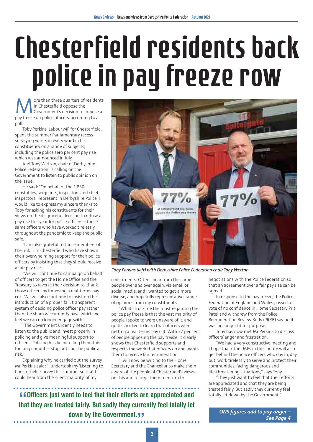# Chesterfield residents back police in pay freeze row

ore than three quarters of residents in Chesterfield oppose the Government's decision to impose a pay freeze on police officers, according to a poll.

Toby Perkins, Labour MP for Chesterfield, spent the summer Parliamentary recess surveying voters in every ward in his constituency on a range of subjects, including the police zero per cent pay rise which was announced in July.

And Tony Wetton, chair of Derbyshire Police Federation, is calling on the Government to listen to public opinion on the issue.

He said: "On behalf of the 1,850 constables, sergeants, inspectors and chief inspectors I represent in Derbyshire Police, I would like to express my sincere thanks to Toby for asking his constituents for their views on the disgraceful decision to refuse a pay rise this year for police officers – those same officers who have worked tirelessly throughout the pandemic to keep the public safe.

"I am also grateful to those members of the public in Chesterfield who have shown their overwhelming support for their police officers by insisting that they should receive a fair pay rise.

"We will continue to campaign on behalf of officers to get the Home Office and the Treasury to reverse their decision to 'thank' those officers by imposing a real-terms pay cut. We will also continue to insist on the introduction of a proper, fair, transparent system of deciding police officer pay rather than the sham we currently have which we feel we can no longer engage with.

"The Government urgently needs to listen to the public and invest properly in policing and give meaningful support to officers. Policing has been telling them this for long enough – stop putting the public at risk."

Explaining why he carried out the survey, Mr Perkins said: "I undertook my 'Listening to Chesterfield' survey this summer so that I could hear from the 'silent majority' of my



*Toby Perkins (left) with Derbyshire Police Federation chair Tony Wetton.*

constituents. Often I hear from the same people over and over again, via email or social media, and I wanted to get a more diverse, and hopefully representative, range of opinions from my constituents.

.<br>"What struck me the most regarding the police pay freeze is that the vast majority of people I spoke to were unaware of it, and quite shocked to learn that officers were getting a real terms pay cut. With 77 per cent of people opposing the pay freeze, it clearly shows that Chesterfield supports and respects the work that officers do and wants them to receive fair remuneration.

"I will now be writing to the Home Secretary and the Chancellor to make them aware of the people of Chesterfield's views on this and to urge them to return to

**"f** Officers just want to feel that their efforts are appreciated and that they are treated fairly. But sadly they currently feel totally let **Officers just want to feel that their efforts are appreciated and down by the Government.** 

negotiations with the Police Federation so that an agreement over a fair pay rise can be agreed."

In response to the pay freeze, the Police Federation of England and Wales passed a vote of no confidence in Home Secretary Priti Patel and withdrew from the Police Remuneration Review Body (PRRB) saying it was no longer fit for purpose.

Tony has now met Mr Perkins to discuss officers' anger and frustration.

"We had a very constructive meeting and I hope that other MPs in the county will also get behind the police officers who day in, day out, work tirelessly to serve and protect their communities, facing dangerous and life-threatening situations," says Tony.

"They just want to feel that their efforts are appreciated and that they are being treated fairly. But sadly they currently feel totally let down by the Government."

> *ONS figures add to pay anger – See Page 4*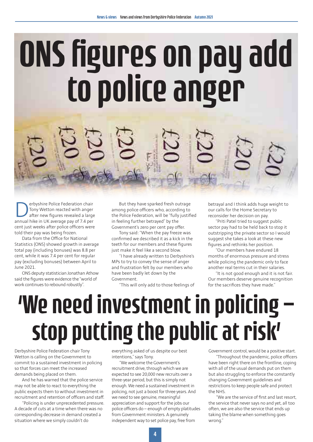# ONS figures on pay add to police anger

**Derbyshire Police Federation chair**<br>Tony Wetton reacted with anger<br>annual hike in UK average pay of 7.4 per Tony Wetton reacted with anger after new figures revealed a large cent just weeks after police officers were told their pay was being frozen.

Data from the Office for National Statistics (ONS) showed growth in average total pay (including bonuses) was 8.8 per cent, while it was 7.4 per cent for regular pay (excluding bonuses) between April to June 2021.

ONS deputy statistician Jonathan Athow said the figures were evidence the "world of work continues to rebound robustly".

But they have sparked fresh outrage among police officers who, according to the Police Federation, will be "fully justified in feeling further betrayed" by the Government's zero per cent pay offer.

Tony said: "When the pay freeze was confirmed we described it as a kick in the teeth for our members and these figures just make it feel like a second blow.

"I have already written to Derbyshire's MPs to try to convey the sense of anger and frustration felt by our members who have been badly let down by the Government.

"This will only add to those feelings of

betrayal and I think adds huge weight to our calls for the Home Secretary to reconsider her decision on pay.

"Priti Patel tried to suggest public sector pay had to be held back to stop it outstripping the private sector so I would suggest she takes a look at these new figures and rethinks her position.

"Our members have endured 18 months of enormous pressure and stress while policing the pandemic only to face another real terms cut in their salaries.

"It is not good enough and it is not fair. Our members deserve genuine recognition for the sacrifices they have made."

## 'We need investment in policing – stop putting the public at risk'

Derbyshire Police Federation chair Tony Wetton is calling on the Government to commit to a sustained investment in policing so that forces can meet the increased demands being placed on them.

And he has warned that the police service may not be able to react to everything the public expects them to without investment in recruitment and retention of officers and staff.

"Policing is under unprecedented pressure. A decade of cuts at a time when there was no corresponding decrease in demand created a situation where we simply couldn't do

everything asked of us despite our best intentions," says Tony.

"We welcome the Government's recruitment drive, through which we are expected to see 20,000 new recruits over a three-year period, but this is simply not enough. We need a sustained investment in policing, not just a boost for three years. And we need to see genuine, meaningful appreciation and support for the jobs our police officers do – enough of empty platitudes from Government ministers. A genuinely independent way to set police pay, free from

Government control, would be a positive start.

"Throughout the pandemic, police officers have been right there on the frontline, coping with all of the usual demands put on them but also struggling to enforce the constantly changing Government guidelines and restrictions to keep people safe and protect the NHS.

"We are the service of first and last resort, the service that never says no and yet, all too often, we are also the service that ends up taking the blame when something goes wrong."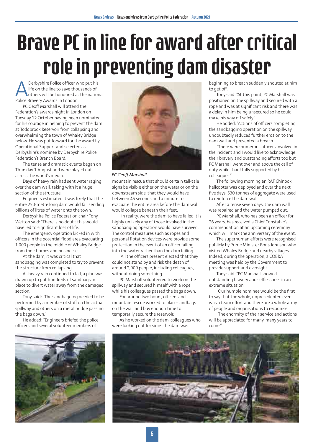### Brave PC in line for award after critical role in preventing dam disaster

Derbyshire Police officer who put his life on the line to save thousands of others will be honoured at the national Police Bravery Awards in London.

PC Geoff Marshall will attend the Federation's awards night in London on Tuesday 12 October having been nominated for his courage in helping to prevent the dam at Toddbrook Reservoir from collapsing and overwhelming the town of Whaley Bridge below. He was put forward for the award by Operational Support and selected as Derbyshire's nominee by Derbyshire Police Federation's Branch Board.

The tense and dramatic events began on Thursday 1 August and were played out across the world's media.

Days of heavy rain had sent water raging over the dam wall, taking with it a huge section of the structure.

Engineers estimated it was likely that the entire 250-metre long dam would fail sending billions of litres of water onto the town.

Derbyshire Police Federation chair Tony Wetton said: "There is no doubt this would have led to significant loss of life."

The emergency operation kicked in with officers in the potential flood area evacuating 1,000 people in the middle of Whaley Bridge from their homes and businesses.

At the dam, it was critical that sandbagging was completed to try to prevent the structure from collapsing.

As heavy rain continued to fall, a plan was drawn up to put hundreds of sandbags in place to divert water away from the damaged section.

Tony said: "The sandbagging needed to be performed by a member of staff on the actual spillway and others on a metal bridge passing the bags down"

He added: "Engineers briefed the police officers and several volunteer members of





*PC Geoff Marshall.*

mountain rescue that should certain tell-tale signs be visible either on the water or on the downstream side, that they would have between 45 seconds and a minute to evacuate the entire area before the dam wall would collapse beneath their feet.

"In reality, were the dam to have failed it is highly unlikely any of those involved in the sandbagging operation would have survived. The control measures such as ropes and personal flotation devices were provide some protection in the event of an officer falling into the water rather than the dam failing.

"All the officers present elected that they could not stand by and risk the death of around 2,000 people, including colleagues, without doing something."

PC Marshall volunteered to work on the spillway and secured himself with a rope while his colleagues passed the bags down.

For around two hours, officers and mountain rescue worked to place sandbags on the wall and buy enough time to temporarily secure the reservoir.

As he worked on the dam, colleagues who were looking out for signs the dam was

beginning to breach suddenly shouted at him to get off.

Tony said: "At this point, PC Marshall was positioned on the spillway and secured with a rope and was at significant risk and there was a delay in him being unsecured so he could make his way off safely."

He added: "Actions of officers completing the sandbagging operation on the spillway undoubtedly reduced further erosion to the dam wall and prevented a breach.

"There were numerous officers involved in the incident and I would like to acknowledge their bravery and outstanding efforts too but PC Marshall went over and above the call of duty while thankfully supported by his colleagues."

The following morning an RAF Chinook helicopter was deployed and over the next five days, 530 tonnes of aggregate were used to reinforce the dam wall.

After a tense seven days, the dam wall was repaired and the water pumped out.

PC Marshall, who has been an officer for 26 years, has received a Chief Constable's commendation at an upcoming ceremony which will mark the anniversary of the event.

The superhuman efforts were recognised publicly by Prime Minister Boris Johnson who visited Whaley Bridge and nearby villages. Indeed, during the operation, a COBRA meeting was held by the Government to provide support and oversight.

Tony said: "PC Marshall showed outstanding bravery and selflessness in an extreme situation.

"Our humble nominee would be the first to say that the whole, unprecedented event was a team effort and there are a whole army of people and organisations to recognise.

"The enormity of their service and actions will be appreciated for many, many years to come."

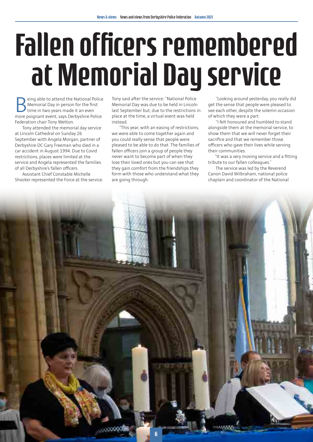# Fallen officers remembered at Memorial Day service

eing able to attend the National Police Memorial Day in person for the first time in two years made it an even more poignant event, says Derbyshire Police Federation chair Tony Wetton.

Tony attended the memorial day service at Lincoln Cathedral on Sunday 26 September with Angela Morgan, partner of Derbyshire DC Gary Freeman who died in a car accident in August 1994. Due to Covid restrictions, places were limited at the service and Angela represented the families of all Derbyshire's fallen officers.

Assistant Chief Constable Michelle Shooter represented the Force at the service. Tony said after the service: "National Police Memorial Day was due to be held in Lincoln last September but, due to the restrictions in place at the time, a virtual event was held instead.

"This year, with an easing of restrictions, we were able to come together again and you could really sense that people were pleased to be able to do that. The families of fallen officers join a group of people they never want to become part of when they lose their loved ones but you can see that they gain comfort from the friendships they form with those who understand what they are going through.

"Looking around yesterday, you really did get the sense that people were pleased to see each other, despite the solemn occasion of which they were a part.

"I felt honoured and humbled to stand alongside them at the memorial service, to show them that we will never forget their sacrifice and that we remember those officers who gave their lives while serving their communities.

 "It was a very moving service and a fitting tribute to our fallen colleagues."

The service was led by the Reverend Canon David Wilbraham, national police chaplain and coordinator of the National

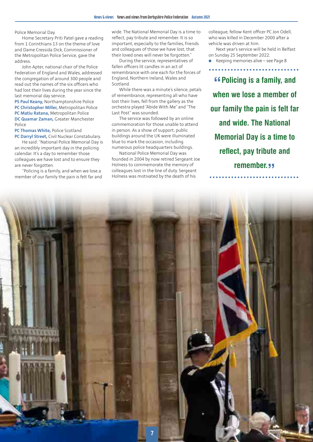Police Memorial Day.

Home Secretary Priti Patel gave a reading from 1 Corinthians 13 on the theme of love and Dame Cressida Dick, Commissioner of the Metropolitan Police Service, gave the address.

John Apter, national chair of the Police Federation of England and Wales, addressed the congregation of around 300 people and read out the names of the six officers who had lost their lives during the year since the last memorial day service.

**PS Paul Keany,** Northamptonshire Police **PC Christopher Miller,** Metropolitan Police **PC Matiu Ratana,** Metropolitan Police **DC Quamar Zaman,** Greater Manchester Police

**PC Thomas White,** Police Scotland **PC Darryl Street,** Civil Nuclear Constabulary.

He said: "National Police Memorial Day is an incredibly important day in the policing calendar. It's a day to remember those colleagues we have lost and to ensure they are never forgotten.

"Policing is a family, and when we lose a member of our family the pain is felt far and wide. The National Memorial Day is a time to reflect, pay tribute and remember. It is so important, especially to the families, friends and colleagues of those we have lost, that their loved ones will never be forgotten."

During the service, representatives of fallen officers lit candles in an act of remembrance with one each for the forces of England, Northern Ireland, Wales and Scotland.

While there was a minute's silence, petals of remembrance, representing all who have lost their lives, fell from the gallery as the orchestra played "Abide With Me" and "The Last Post" was sounded.

The service was followed by an online commemoration for those unable to attend in person. As a show of support, public buildings around the UK were illuminated blue to mark the occasion, including numerous police headquarters buildings.

National Police Memorial Day was founded in 2004 by now retired Sergeant Joe Holness to commemorate the memory of colleagues lost in the line of duty. Sergeant Holness was motivated by the death of his

colleague, fellow Kent officer PC Jon Odell, who was killed in December 2000 after a vehicle was driven at him.

Next year's service will be held in Belfast on Sunday 25 September 2022.

l Keeping memories alive – see Page 8

**"Policing is a family, and when we lose a member of our family the pain is felt far and wide. The National Memorial Day is a time to reflect, pay tribute and remember.** 

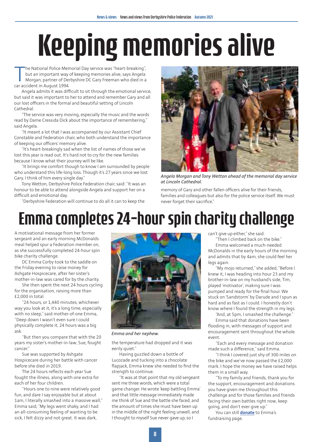# Keeping memories alive

The National Police Mer<br>but an important way<br>Morgan, partner of De<br>car accident in August 1994. he National Police Memorial Day service was "heart-breaking", but an important way of keeping memories alive, says Angela Morgan, partner of Derbyshire DC Gary Freeman who died in a

Angela admits it was difficult to sit through the emotional service, but said it was important to her to attend and remember Gary and all our lost officers in the formal and beautiful setting of Lincoln Cathedral.

"The service was very moving, especially the music and the words read by Dame Cressida Dick about the importance of remembering," said Angela.

"It meant a lot that I was accompanied by our Assistant Chief Constable and Federation chair, who both understand the importance of keeping our officers' memory alive.

"It's heart-breakingly sad when the list of names of those we've lost this year is read out. It's hard not to cry for the new families because I know what their journey will be like.

"It brings me comfort though to know I am surrounded by people who understand this life-long loss. Though it's 27 years since we lost Gary, I think of him every single day."

Tony Wetton, Derbyshire Police Federation chair, said: "It was an honour to be able to attend alongside Angela and support her on a difficult and emotional day.

"Derbyshire Federation will continue to do all it can to keep the



*Angela Morgan and Tony Wetton ahead of the memorial day service at Lincoln Cathedral.*

memory of Gary and other fallen officers alive for their friends, families and colleagues but also for the police service itself. We must never forget their sacrifice."

### Emma completes 24-hour spin charity challenge

A motivational message from her former sergeant and an early morning McDonalds meal helped spur a Federation member on, as she successfully completed 24-hour spin bike charity challenge.

DC Emma Corby took to the saddle on the Friday evening to raise money for Ashgate Hospicecare, after her sister's mother-in-law was cared for by the charity.

She then spent the next 24 hours cycling for the organisation, raising more than £2,000 in total.

"24 hours, or 1,440 minutes, whichever way you look at it, it's a long time, especially with no sleep," said mother-of-one Emma, "Deep down I wasn't even sure I could physically complete it, 24 hours was a big ask.

"But then you compare that with the 20 years my sister's mother-in-law, Sue, fought cancer."

Sue was supported by Ashgate Hospicecare during her battle with cancer before she died in 2019.

The 24 hours reflects each year Sue fought the illness, along with one extra for each of her four children.

"Hours one to nine were relatively good fun, and dare I say enjoyable but at about 1am, I literally smashed into a massive wall," Emma said, "My legs went shaky, and I had an all-consuming feeling of wanting to be sick, I felt dizzy and not great. It was dark,



*Emma and her nephew.*

the temperature had dropped and it was eerily quiet."

Having guzzled down a bottle of Lucozade and tucking into a chocolate flapjack, Emma knew she needed to find the strength to continue.

"It was at that point that my old sergeant sent me three words, which were a total game changer. He wrote 'keep battling Emma' and that little message immediately made me think of Sue and the battle she faced, and the amount of times she must have been up in the middle of the night feeling unwell, and I thought to myself Sue never gave up, so I

can't give up either," she said.

"Then I climbed back on the bike." Emma welcomed a much-needed McDonalds in the early hours of the morning and admits that by 4am, she could feel her legs again.

"My mojo returned," she added, "Before I knew it, I was heading into hour 23 and my brother-in-law on my husband's side, Tim, played 'motivator', making sure I was pumped and ready for the final hour. We stuck on 'Sandstorm' by Darude and I spun as hard and as fast as I could. I honestly don't know where I found the strength in my legs.

"And, at 5pm, I smashed the challenge."

Emma said that donations have been flooding in, with messages of support and encouragement sent throughout the whole event.

"Each and every message and donation made such a difference," said Emma.

"I think I covered just shy of 300 miles on the bike and we've now passed the £2,000 mark. I hope the money we have raised helps them in a small way.

"To my family and friends, thank you for the support, encouragement and donations you have given me throughout this challenge and for those families and friends facing their own battles right now, keep going, and don't ever give up."

You can still **[donate](https://www.justgiving.com/fundraising/emma-corby5)** to Emma's fundraising page.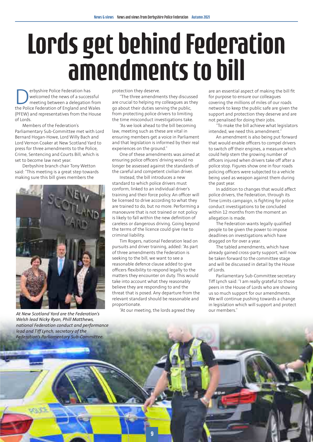# Lords get behind Federation amendments to bill

**Derbyshire Police Federation has<br>
welcomed the news of a succes<br>
meeting between a delegation<br>
the Police Federation of Fnoland and W** welcomed the news of a successful meeting between a delegation from the Police Federation of England and Wales (PFEW) and representatives from the House of Lords.

Members of the Federation's Parliamentary Sub-Committee met with Lord Bernard Hogan-Howe, Lord Willy Bach and Lord Vernon Coaker at New Scotland Yard to press for three amendments to the Police, Crime, Sentencing and Courts Bill, which is set to become law next year.

Derbyshire branch chair Tony Wetton said: "This meeting is a great step towards making sure this bill gives members the



*At New Scotland Yard are the Federation's Welsh lead Nicky Ryan, Phill Matthews, national Federation conduct and performance lead and Tiff Lynch, secretary of the Federation's Parliamentary Sub-Committee.*

protection they deserve.

"The three amendments they discussed are crucial to helping my colleagues as they go about their duties serving the public, from protecting police drivers to limiting the time misconduct investigations take.

"As we look ahead to the bill becoming law, meeting such as these are vital in ensuring members get a voice in Parliament and that legislation is informed by their real experiences on the ground."

One of these amendments was aimed at ensuring police officers' driving would no longer be assessed against the standards of the careful and competent civilian driver.

Instead, the bill introduces a new standard to which police drivers must conform, linked to an individual driver's training and their force policy. An officer will be licensed to drive according to what they are trained to do, but no more. Performing a manoeuvre that is not trained or not policy is likely to fall within the new definition of careless or dangerous driving. Going beyond the terms of the licence could give rise to criminal liability.

Tim Rogers, national Federation lead on pursuits and driver training, added: "As part of three amendments the Federation is seeking to the bill, we want to see a reasonable defence clause added to give officers flexibility to respond legally to the matters they encounter on duty. This would take into account what they reasonably believe they are responding to and the threat that is posed. Any departure from the relevant standard should be reasonable and proportionate.

"At our meeting, the lords agreed they

are an essential aspect of making the bill fit for purpose to ensure our colleagues covering the millions of miles of our roads network to keep the public safe are given the support and protection they deserve and are not penalised for doing their jobs.

"To make the bill achieve what legislators intended, we need this amendment."

An amendment is also being put forward that would enable officers to compel drivers to switch off their engines, a measure which could help stem the growing number of officers injured when drivers take off after a police stop. Figures show one in four roads policing officers were subjected to a vehicle being used as weapon against them during the past year.

In addition to changes that would affect police drivers, the Federation, through its Time Limits campaign, is fighting for police conduct investigations to be concluded within 12 months from the moment an allegation is made.

The Federation wants legally qualified people to be given the power to impose deadlines on investigations which have dragged on for over a year.

The tabled amendments, which have already gained cross-party support, will now be taken forward to the committee stage and will be discussed in detail by the House of Lords.

Parliamentary Sub-Committee secretary Tiff Lynch said: "I am really grateful to those peers in the House of Lords who are showing us so much support for our amendments. We will continue pushing towards a change in legislation which will support and protect our members."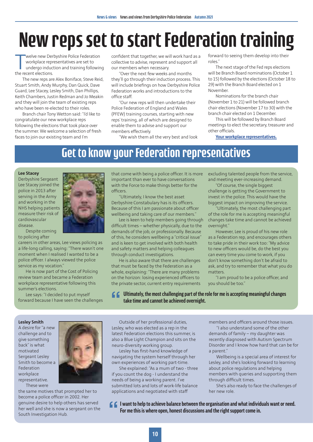### New reps set to start Federation training

Welve new Der<br>
workplace rep<br>
undergo induc<br>
the recent elections. welve new Derbyshire Police Federation workplace representatives are set to undergo induction and training following

The new reps are Alex Boniface, Steve Reid, Stuart Smith, Andy Murphy, Dan Quick, Dave Guard, Lee Stacey, Lesley Smith, Dan Phillips, Keith Chambers, Justin Redman and Jo Meakin and they will join the team of existing reps who have been re-elected to their roles.

Branch chair Tony Wetton said: "I'd like to congratulate our new workplace reps following the elections that took place over the summer. We welcome a selection of fresh faces to join our existing team and I'm

confident that together, we will work hard as a collective to advise, represent and support all our members when necessary.

"Over the next few weeks and months they'll go through their induction process. This will include briefings on how Derbyshire Police Federation works and introductions to the office staff.

"Our new reps will then undertake their Police Federation of England and Wales (PFEW) training courses, starting with new reps' training, all of which are designed to enable them to advise and support our members effectively.

"We wish them all the very best and look

forward to seeing them develop into their roles."

The next stage of the Fed reps elections will be Branch Board nominations (October 1 to 15) followed by the elections (October 18 to 29) with the Branch Board elected on 1 November.

Nominations for the branch chair (November 1 to 21) will be followed branch chair elections (November 17 to 30) with the branch chair elected on 1 December.

This will be followed by Branch Board meetings to elect the secretary, treasurer and other officials.

**[Your workplace representatives.](https://www.polfed.org/derbys/about-us/meet-the-team/)**

### Get to know your Federation representatives

#### **Lee Stacey**

Derbyshire Sergeant Lee Stacey joined the police in 2013 after serving in the Army and working in the NHS helping patients measure their risk of cardiovascular disease.

Despite coming to policing after

careers in other areas, Lee views policing as a life-long calling, saying: "There wasn't one moment when I realised I wanted to be a police officer. I always viewed the police service as my vocation."

He is now part of the Cost of Policing review team and became a Federation workplace representative following this summer's elections.

Lee says: "I decided to put myself forward because I have seen the challenges



that come with being a police officer. It is more important than ever to have conversations with the Force to make things better for the officers.

"Ultimately, I know the best asset Derbyshire Constabulary has is its officers. Because of this I am passionate about officer wellbeing and taking care of our members."

Lee is keen to help members going through difficult times – whether physically, due to the demands of the job, or professionally. Because of this, he considers wellbeing a "critical issue" and is keen to get involved with both health and safety matters and helping colleagues through conduct investigations.

He is also aware that there are challenges that must be faced by the Federation as a whole, explaining: "There are many problems on the horizon: losing experienced officers to the private sector, current entry requirements excluding talented people from the service, and meeting ever-increasing demand.

"Of course, the single biggest challenge is getting the Government to invest in the police. This would have the biggest impact on improving the service.

"Ultimately, the most challenging part of the role for me is accepting meaningful changes take time and cannot be achieved overnight."

However, Lee is proud of his new role as a Federation rep, and encourages others to take pride in their work too: "My advice to new officers would be, do the best you can every time you come to work, if you don't know something don't be afraid to ask, and try to remember that what you do matters.

"I am proud to be a police officer, and you should be too."

**Ultimately, the most challenging part of the role for me is accepting meaningful changes take time and cannot be achieved overnight. "**

#### **Lesley Smith**

A desire for "a new challenge and to give something back" is what motivated Sergeant Lesley Smith to become a Federation workplace representative. These were



the same motives that prompted her to become a police officer in 2002. Her genuine desire to help others has served her well and she is now a sergeant on the South Investigation Hub.

Outside of her professional duties, Lesley, who was elected as a rep in the latest Federation elections this summer, is also a Blue Light Champion and sits on the neuro-diversity working group.

Lesley has first-hand knowledge of navigating the system herself through her own experiences of working part-time.

She explained: "As a mum of two - three if you count the dog - I understand the needs of being a working parent. I've submitted lots and lots of work-life balance applications and negotiated with staff

members and officers around those issues.

"I also understand some of the other demands of family – my daughter was recently diagnosed with Autism Spectrum Disorder and I know how hard that can be for a parent."

Wellbeing is a special area of interest for Lesley, and she's looking forward to learning about police regulations and helping members with queries and supporting them through difficult times.

She's also ready to face the challenges of her new role.

**I** want to help to achieve balance between the organisation and what individuals want or need.<br>For me this is where open, honest discussions and the right support come in. **For me this is where open, honest discussions and the right support come in.**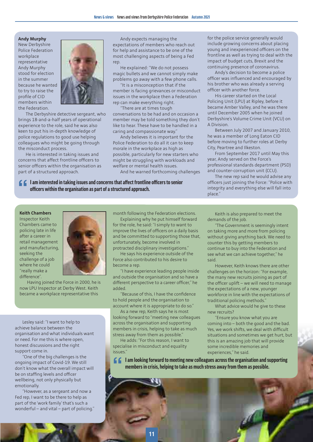#### **Andy Murphy**

New Derbyshire Police Federation workplace representative Andy Murphy stood for election in the summer because he wanted to try to raise the profile of CID members within the Federation.



The Derbyshire detective sergeant, who brings 18-and-a-half years of operational experience to the role, said he was also keen to put his in-depth knowledge of police regulations to good use helping colleagues who might be going through the misconduct process.

He is interested in taking issues and concerns that affect frontline officers to senior officers within the organisation as part of a structured approach.

Andy expects managing the expectations of members who reach out for help and assistance to be one of the most challenging aspects of being a Fed rep.

He explained: "We do not possess magic bullets and we cannot simply make problems go away with a few phone calls.

"It is a misconception that if the member is facing grievances or misconduct issues in the workplace then a Federation rep can make everything right.

"There are at times tough conversations to be had and on occasion a member may be told something they don't like to hear. These have to be handled in a caring and compassionate way."

Andy believes it is important for the Police Federation to do all it can to keep morale in the workplace as high as possible, particularly for new starters who might be struggling with workloads and welfare or mental health issues.

And he warned forthcoming challenges

**I** am interested in taking issues and concerns that affect frontline officers to senior officers within the organisation as part of a structured approach. **officers within the organisation as part of a structured approach.**

for the police service generally would include growing concerns about placing young and inexperienced officers on the frontline as well as trying to deal with the impact of budget cuts, Brexit and the continuing presence of coronavirus.

Andy's decision to become a police officer was influenced and encouraged by his brother who was already a serving officer with another force.

His career started on the Local Policing Unit (LPU) at Ripley, before it became Amber Valley, and he was there until December 2005 when he joined Derbyshire's Volume Crime Unit (VCU) on A Division.

Between July 2007 and January 2010, he was a member of Long Eaton CID before moving to further roles at Derby City, Peartree and Ilkeston.

From September 2017 until May this year, Andy served on the Force's professional standards department (PSD) and counter-corruption unit (CCU).

The new rep said he would advise any officers just joining the Force: "Police with integrity and everything else will fall into place."

#### **Keith Chambers**

Inspector Keith Chambers came to policing late in life after a career in retail management and manufacturing, seeking the challenge of a job where he could "really make a difference".



Having joined the Force in 2000, he is now LPU Inspector at Derby West. Keith became a workplace representative this

Lesley said: "I want to help to achieve balance between the organisation and what individuals want or need. For me this is where open, honest discussions and the right support come in.

"One of the big challenges is the ongoing impact of Covid-19. We still don't know what the overall impact will be on staffing levels and officer wellbeing, not only physically but emotionally.

"However, as a sergeant and now a Fed rep, I want to be there to help as part of the 'work family' that's such a wonderful – and vital – part of policing." month following the Federation elections.

Explaining why he put himself forward for the role, he said: "I simply to want to improve the lives of officers on a daily basis and be committed to supporting those that, unfortunately, become involved in protracted disciplinary investigations."

He says his experience outside of the Force also contributed to his desire to become a rep.

"I have experience leading people inside and outside the organisation and so have a different perspective to a career officer," he added.

"Because of this, I have the confidence to hold people and the organisation to account where it is appropriate to do so."

As a new rep, Keith says he is most looking forward to "meeting new colleagues across the organisation and supporting members in crisis, helping to take as much stress away from them as possible."

He adds: "For this reason, I want to specialise in misconduct and equality issues."

Keith is also prepared to meet the demands of the job.

"The Government is seemingly intent on taking more and more from policing without giving anything back. We need to counter this by getting members to continue to buy into the Federation and see what we can achieve together," he said.

However, Keith knows there are other challenges on the horizon: "For example, the many new recruits joining as part of the officer uplift – we will need to manage the expectations of a new, younger workforce in line with the expectations of traditional policing methods."

What advice would he give to these new recruits?

"Ensure you know what you are coming into – both the good and the bad. Yes, we work shifts, we deal with difficult situations and sometimes we get hurt, but this is an amazing job that will provide some incredible memories and experiences," he said.

**I** am looking forward to meeting new colleagues across the organisation and supporting members in crisis, helping to take as much stress away from them as possible. **members in crisis, helping to take as much stress away from them as possible.**

> **11 11**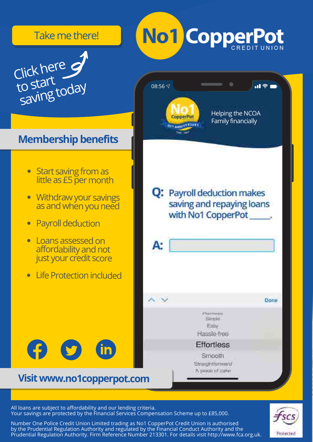#### Take me there!

News & views News and views from Derbyshire Police Federation Autumn 2021



### **Membership benefits**

- **Start saving from as** little as £5 per month
- Withdrawyour savings  $\bullet$ as and when you need
- **Payroll deduction**  $\overline{\bullet}$
- Loans assessed on affordability and not just your credit score
- LifeProtectionincluded  $\overline{\bullet}$



### **Visitwww.no1copperpot.com**



510001 Simple: Easy Hassle-free

**Effortless** Smooth. Straightforward A piece of cake

#### All loans are subject to affordability and our lending criteria. Your savings are protected by the Financial Services Compensation Scheme up to £85,000.

**12** Number One Police Credit Union Limited trading as No1 CopperPot Credit Union is authorised by the Prudential Regulation Authority and regulated by the Financial Conduct Authority and the Prudential Regulation Authority. Firm Reference Number 213301. For details visit http://www.fca.org.uk.

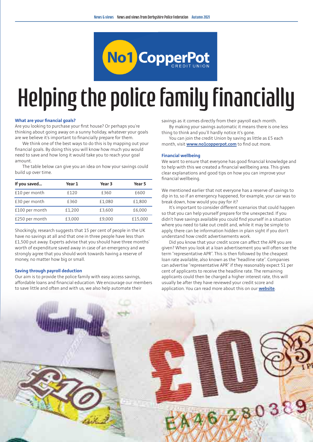

#### Helping the police family financially Clickhere Link Helping the po

#### **What are your financial goals?**

Are you looking to purchase your first house? Or perhaps you're thinking about going away on a sunny holiday, whatever your goals **Membershipbenefits** are we believe it's important to financially prepare for them.

We think one of the best ways to do this is by mapping out your financial goals. By doing this you will know how much you would need to save and how long it would take you to reach your goal amount.

bunt.<br>The table below can give you an idea on how your savings could build up over time.

| If you saved   | Year 1 | Year 3 | Year 5  |  |
|----------------|--------|--------|---------|--|
| £10 per month  | £120   | £360   | £600    |  |
| £30 per month  | £360   | £1.080 | £1.800  |  |
| £100 per month | £1.200 | £3.600 | £6.000  |  |
| £250 per month | £3,000 | £9,000 | £15,000 |  |

Shockingly, research suggests that 15 per cent of people in the UK have no savings at all and that one in three people have less than £1,500 put away. Experts advise that you should have three months' worth of expenditure saved away in case of an emergency and we strongly agree that you should work towards having a reserve of money, no matter how big or small.

#### **Saving through payroll deduction**

Our aim is to provide the police family with easy access savings, affordable loans and financial education. We encourage our members to save little and often and with us, we also help automate their

savings as it comes directly from their payroll each month. By making your savings automatic it means there is one less

thing to think and you'll hardly notice it's gone. You can join the credit Union by saving as little as £5 each

month, visit **[www.no1copperpot.com](http://www.no1copperpot.com)** to find out more.

#### **Financial wellbeing**

We want to ensure that everyone has good financial knowledge and to help with this we created a financial wellbeing area. This gives clear explanations and good tips on how you can improve your financial wellbeing.

We mentioned earlier that not everyone has a reserve of savings to dip in to, so if an emergency happened, for example, your car was to break down, how would you pay for it?

It's important to consider different scenarios that could happen so that you can help yourself prepare for the unexpected. If you didn't have savings available you could find yourself in a situation where you need to take out credit and, while it may be simple to apply, there can be information hidden in plain sight if you don't understand how credit advertisements work.

Did you know that your credit score can affect the APR you are given? When you look at a loan advertisement you will often see the term "representative APR". This is then followed by the cheapest loan rate available, also known as the "headline rate". Companies can advertise "representative APR" if they reasonably expect 51 per cent of applicants to receive the headline rate. The remaining applicants could then be charged a higher interest rate, this will usually be after they have reviewed your credit score and application. You can read more about this on our **[website](https://www.no1copperpot.com)**.